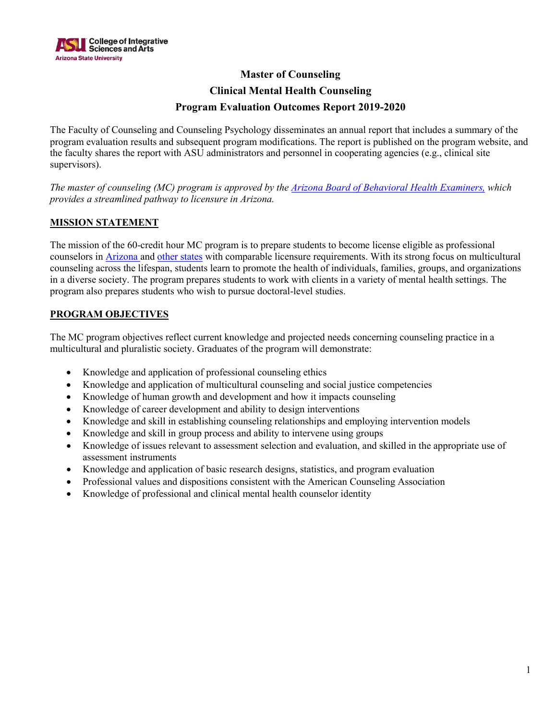

# **Master of Counseling Clinical Mental Health Counseling Program Evaluation Outcomes Report 2019-2020**

The Faculty of Counseling and Counseling Psychology disseminates an annual report that includes a summary of the program evaluation results and subsequent program modifications. The report is published on the program website, and the faculty shares the report with ASU administrators and personnel in cooperating agencies (e.g., clinical site supervisors).

*The master of counseling (MC) program is approved by the [Arizona Board of Behavioral Health Examiners,](https://www.azbbhe.us/pdfs/ARC/ASU%20Master%20of%20Counseling.pdf) which provides a streamlined pathway to licensure in Arizona.*

### **MISSION STATEMENT**

The mission of the 60-credit hour MC program is to prepare students to become license eligible as professional counselors in [Arizona a](https://www.azbbhe.us/node/12)nd [other states](https://www.counseling.org/knowledge-center/licensure-requirements/state-professional-counselor-licensure-boards) with comparable licensure requirements. With its strong focus on multicultural counseling across the lifespan, students learn to promote the health of individuals, families, groups, and organizations in a diverse society. The program prepares students to work with clients in a variety of mental health settings. The program also prepares students who wish to pursue doctoral-level studies.

### **PROGRAM OBJECTIVES**

The MC program objectives reflect current knowledge and projected needs concerning counseling practice in a multicultural and pluralistic society. Graduates of the program will demonstrate:

- Knowledge and application of professional counseling ethics
- Knowledge and application of multicultural counseling and social justice competencies
- Knowledge of human growth and development and how it impacts counseling
- Knowledge of career development and ability to design interventions
- Knowledge and skill in establishing counseling relationships and employing intervention models
- Knowledge and skill in group process and ability to intervene using groups
- Knowledge of issues relevant to assessment selection and evaluation, and skilled in the appropriate use of assessment instruments
- Knowledge and application of basic research designs, statistics, and program evaluation
- Professional values and dispositions consistent with the American Counseling Association
- Knowledge of professional and clinical mental health counselor identity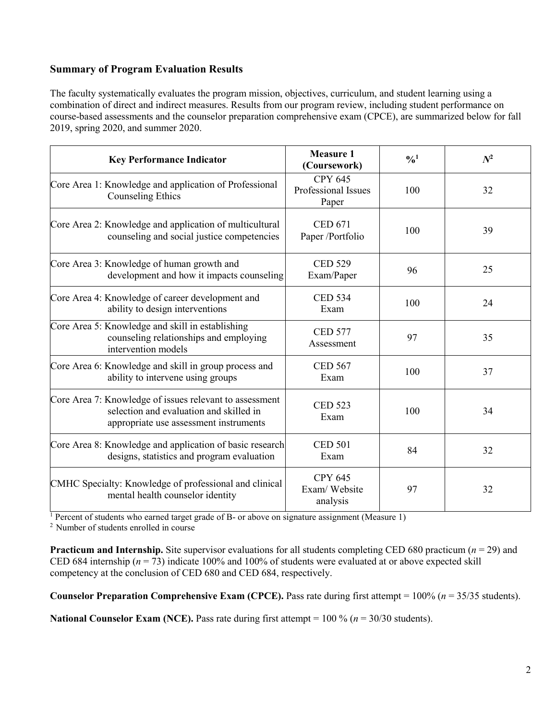## **Summary of Program Evaluation Results**

The faculty systematically evaluates the program mission, objectives, curriculum, and student learning using a combination of direct and indirect measures. Results from our program review, including student performance on course-based assessments and the counselor preparation comprehensive exam (CPCE), are summarized below for fall 2019, spring 2020, and summer 2020.

| <b>Key Performance Indicator</b>                                                                                                             | <b>Measure 1</b><br>(Coursework)               | $\frac{0}{0}$ <sup>1</sup> | $N^2$ |
|----------------------------------------------------------------------------------------------------------------------------------------------|------------------------------------------------|----------------------------|-------|
| Core Area 1: Knowledge and application of Professional<br><b>Counseling Ethics</b>                                                           | <b>CPY 645</b><br>Professional Issues<br>Paper | 100                        | 32    |
| Core Area 2: Knowledge and application of multicultural<br>counseling and social justice competencies                                        | <b>CED 671</b><br>Paper /Portfolio             | 100                        | 39    |
| Core Area 3: Knowledge of human growth and<br>development and how it impacts counseling                                                      | <b>CED 529</b><br>Exam/Paper                   | 96                         | 25    |
| Core Area 4: Knowledge of career development and<br>ability to design interventions                                                          | <b>CED 534</b><br>Exam                         | 100                        | 24    |
| Core Area 5: Knowledge and skill in establishing<br>counseling relationships and employing<br>intervention models                            | <b>CED 577</b><br>Assessment                   | 97                         | 35    |
| Core Area 6: Knowledge and skill in group process and<br>ability to intervene using groups                                                   | <b>CED 567</b><br>Exam                         | 100                        | 37    |
| Core Area 7: Knowledge of issues relevant to assessment<br>selection and evaluation and skilled in<br>appropriate use assessment instruments | <b>CED 523</b><br>Exam                         | 100                        | 34    |
| Core Area 8: Knowledge and application of basic research<br>designs, statistics and program evaluation                                       | <b>CED 501</b><br>Exam                         | 84                         | 32    |
| CMHC Specialty: Knowledge of professional and clinical<br>mental health counselor identity                                                   | <b>CPY 645</b><br>Exam/Website<br>analysis     | 97                         | 32    |

<sup>1</sup> Percent of students who earned target grade of B- or above on signature assignment (Measure 1)

<sup>2</sup> Number of students enrolled in course

**Practicum and Internship.** Site supervisor evaluations for all students completing CED 680 practicum (*n* = 29) and CED 684 internship ( $n = 73$ ) indicate 100% and 100% of students were evaluated at or above expected skill competency at the conclusion of CED 680 and CED 684, respectively.

**Counselor Preparation Comprehensive Exam (CPCE).** Pass rate during first attempt = 100% (*n* = 35/35 students).

**National Counselor Exam (NCE).** Pass rate during first attempt =  $100\%$  ( $n = 30/30$  students).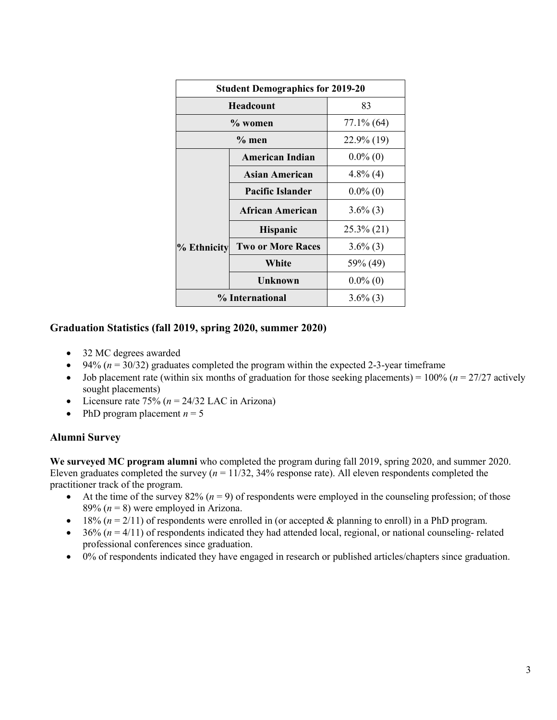| <b>Student Demographics for 2019-20</b> |                          |               |  |  |
|-----------------------------------------|--------------------------|---------------|--|--|
| <b>Headcount</b>                        |                          | 83            |  |  |
| % women                                 |                          | $77.1\%$ (64) |  |  |
| $\%$ men                                |                          | 22.9% (19)    |  |  |
|                                         | <b>American Indian</b>   | $0.0\%$ (0)   |  |  |
|                                         | Asian American           | $4.8\%$ (4)   |  |  |
|                                         | <b>Pacific Islander</b>  | $0.0\%$ (0)   |  |  |
|                                         | African American         | $3.6\%$ (3)   |  |  |
|                                         | <b>Hispanic</b>          | 25.3% (21)    |  |  |
| % Ethnicity                             | <b>Two or More Races</b> | $3.6\%$ (3)   |  |  |
|                                         | White                    | 59% (49)      |  |  |
|                                         | Unknown                  | $0.0\%$ (0)   |  |  |
| % International                         |                          | $3.6\%$ (3)   |  |  |

### **Graduation Statistics (fall 2019, spring 2020, summer 2020)**

- 32 MC degrees awarded
- $\bullet$  94% ( $n = 30/32$ ) graduates completed the program within the expected 2-3-year timeframe
- Job placement rate (within six months of graduation for those seeking placements) =  $100\%$  ( $n = 27/27$  actively sought placements)
- Licensure rate  $75\%$  ( $n = 24/32$  LAC in Arizona)
- PhD program placement  $n = 5$

#### **Alumni Survey**

**We surveyed MC program alumni** who completed the program during fall 2019, spring 2020, and summer 2020. Eleven graduates completed the survey (*n* = 11/32, 34% response rate). All eleven respondents completed the practitioner track of the program.

- At the time of the survey  $82\%$  ( $n = 9$ ) of respondents were employed in the counseling profession; of those 89%  $(n = 8)$  were employed in Arizona.
- 18%  $(n = 2/11)$  of respondents were enrolled in (or accepted & planning to enroll) in a PhD program.
- $\bullet$  36% ( $n = 4/11$ ) of respondents indicated they had attended local, regional, or national counseling- related professional conferences since graduation.
- 0% of respondents indicated they have engaged in research or published articles/chapters since graduation.